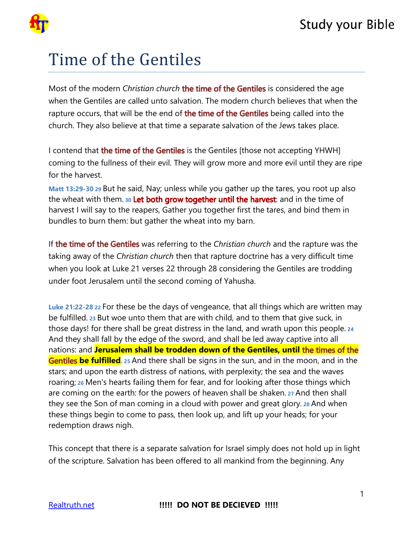

## **Study your Bible**

# Time of the Gentiles

Most of the modern *Christian church* the time of the Gentiles is considered the age when the Gentiles are called unto salvation. The modern church believes that when the rapture occurs, that will be the end of the time of the Gentiles being called into the church. They also believe at that time a separate salvation of the Jews takes place.

I contend that **the time of the Gentiles** is the Gentiles [those not accepting YHWH] coming to the fullness of their evil. They will grow more and more evil until they are ripe for the harvest.

**Matt 13:29-30 29** But he said, Nay; unless while you gather up the tares, you root up also the wheat with them. 30 Let both grow together until the harvest: and in the time of harvest I will say to the reapers, Gather you together first the tares, and bind them in bundles to burn them: but gather the wheat into my barn.

If the time of the Gentiles was referring to the *Christian church* and the rapture was the taking away of the *Christian church* then that rapture doctrine has a very difficult time when you look at Luke 21 verses 22 through 28 considering the Gentiles are trodding under foot Jerusalem until the second coming of Yahusha.

**Luke 21:22-28 22** For these be the days of vengeance, that all things which are written may be fulfilled. **23** But woe unto them that are with child, and to them that give suck, in those days! for there shall be great distress in the land, and wrath upon this people.**<sup>24</sup>** And they shall fall by the edge of the sword, and shall be led away captive into all nations: and **Jerusalem shall be trodden down of the Gentiles, until Gentiles be fulfilled** 25 And there shall be signs in the sun, and in the moon, and in the stars; and upon the earth distress of nations, with perplexity; the sea and the waves roaring; **26** Men's hearts failing them for fear, and for looking after those things which are coming on the earth: for the powers of heaven shall be shaken. **27** And then shall they see the Son of man coming in a cloud with power and great glory. **28** And when these things begin to come to pass, then look up, and lift up your heads; for your redemption draws nigh.

This concept that there is a separate salvation for Israel simply does not hold up in light of the scripture. Salvation has been offered to all mankind from the beginning. Any